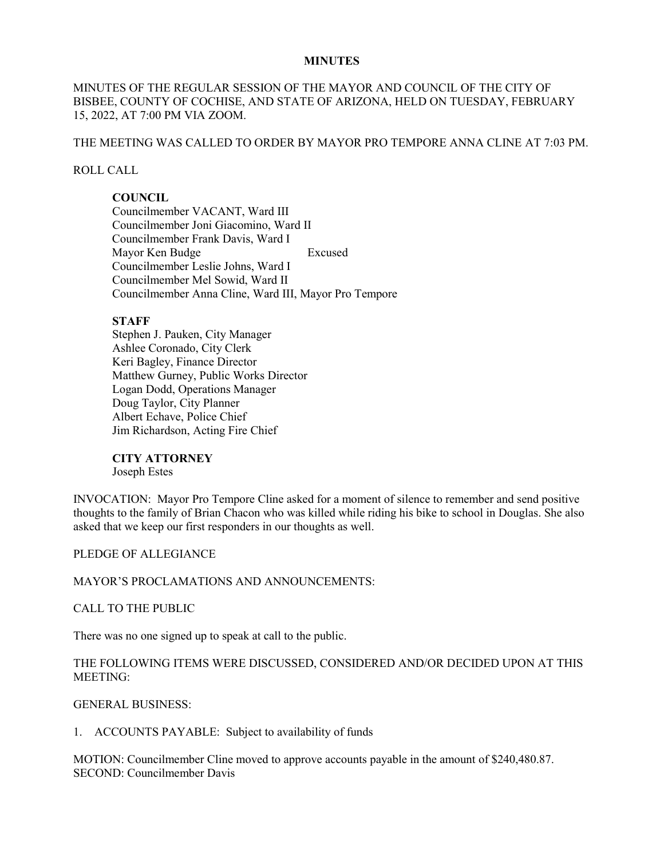### **MINUTES**

# MINUTES OF THE REGULAR SESSION OF THE MAYOR AND COUNCIL OF THE CITY OF BISBEE, COUNTY OF COCHISE, AND STATE OF ARIZONA, HELD ON TUESDAY, FEBRUARY 15, 2022, AT 7:00 PM VIA ZOOM.

# THE MEETING WAS CALLED TO ORDER BY MAYOR PRO TEMPORE ANNA CLINE AT 7:03 PM.

## ROLL CALL

# **COUNCIL**

Councilmember VACANT, Ward III Councilmember Joni Giacomino, Ward II Councilmember Frank Davis, Ward I Mayor Ken Budge Excused Councilmember Leslie Johns, Ward I Councilmember Mel Sowid, Ward II Councilmember Anna Cline, Ward III, Mayor Pro Tempore

## **STAFF**

Stephen J. Pauken, City Manager Ashlee Coronado, City Clerk Keri Bagley, Finance Director Matthew Gurney, Public Works Director Logan Dodd, Operations Manager Doug Taylor, City Planner Albert Echave, Police Chief Jim Richardson, Acting Fire Chief

## **CITY ATTORNEY**

Joseph Estes

INVOCATION: Mayor Pro Tempore Cline asked for a moment of silence to remember and send positive thoughts to the family of Brian Chacon who was killed while riding his bike to school in Douglas. She also asked that we keep our first responders in our thoughts as well.

## PLEDGE OF ALLEGIANCE

MAYOR'S PROCLAMATIONS AND ANNOUNCEMENTS:

## CALL TO THE PUBLIC

There was no one signed up to speak at call to the public.

# THE FOLLOWING ITEMS WERE DISCUSSED, CONSIDERED AND/OR DECIDED UPON AT THIS MEETING:

GENERAL BUSINESS:

1. ACCOUNTS PAYABLE: Subject to availability of funds

MOTION: Councilmember Cline moved to approve accounts payable in the amount of \$240,480.87. SECOND: Councilmember Davis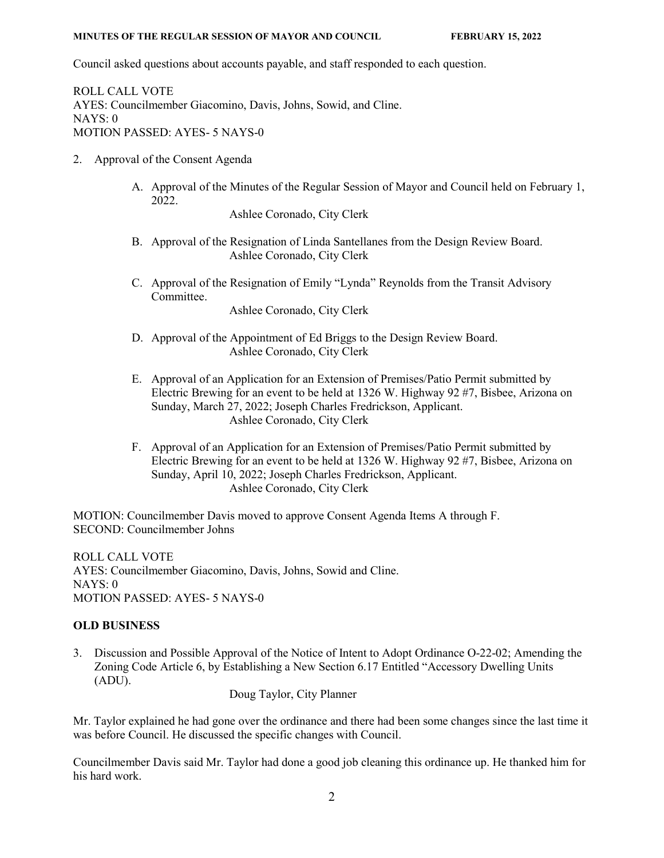Council asked questions about accounts payable, and staff responded to each question.

ROLL CALL VOTE AYES: Councilmember Giacomino, Davis, Johns, Sowid, and Cline. NAYS: 0 MOTION PASSED: AYES- 5 NAYS-0

- 2. Approval of the Consent Agenda
	- A. Approval of the Minutes of the Regular Session of Mayor and Council held on February 1, 2022.

Ashlee Coronado, City Clerk

- B. Approval of the Resignation of Linda Santellanes from the Design Review Board. Ashlee Coronado, City Clerk
- C. Approval of the Resignation of Emily "Lynda" Reynolds from the Transit Advisory Committee.

Ashlee Coronado, City Clerk

- D. Approval of the Appointment of Ed Briggs to the Design Review Board. Ashlee Coronado, City Clerk
- E. Approval of an Application for an Extension of Premises/Patio Permit submitted by Electric Brewing for an event to be held at 1326 W. Highway 92 #7, Bisbee, Arizona on Sunday, March 27, 2022; Joseph Charles Fredrickson, Applicant. Ashlee Coronado, City Clerk
- F. Approval of an Application for an Extension of Premises/Patio Permit submitted by Electric Brewing for an event to be held at 1326 W. Highway 92 #7, Bisbee, Arizona on Sunday, April 10, 2022; Joseph Charles Fredrickson, Applicant. Ashlee Coronado, City Clerk

MOTION: Councilmember Davis moved to approve Consent Agenda Items A through F. SECOND: Councilmember Johns

ROLL CALL VOTE AYES: Councilmember Giacomino, Davis, Johns, Sowid and Cline. NAYS: 0 MOTION PASSED: AYES- 5 NAYS-0

## **OLD BUSINESS**

3. Discussion and Possible Approval of the Notice of Intent to Adopt Ordinance O-22-02; Amending the Zoning Code Article 6, by Establishing a New Section 6.17 Entitled "Accessory Dwelling Units (ADU).

Doug Taylor, City Planner

Mr. Taylor explained he had gone over the ordinance and there had been some changes since the last time it was before Council. He discussed the specific changes with Council.

Councilmember Davis said Mr. Taylor had done a good job cleaning this ordinance up. He thanked him for his hard work.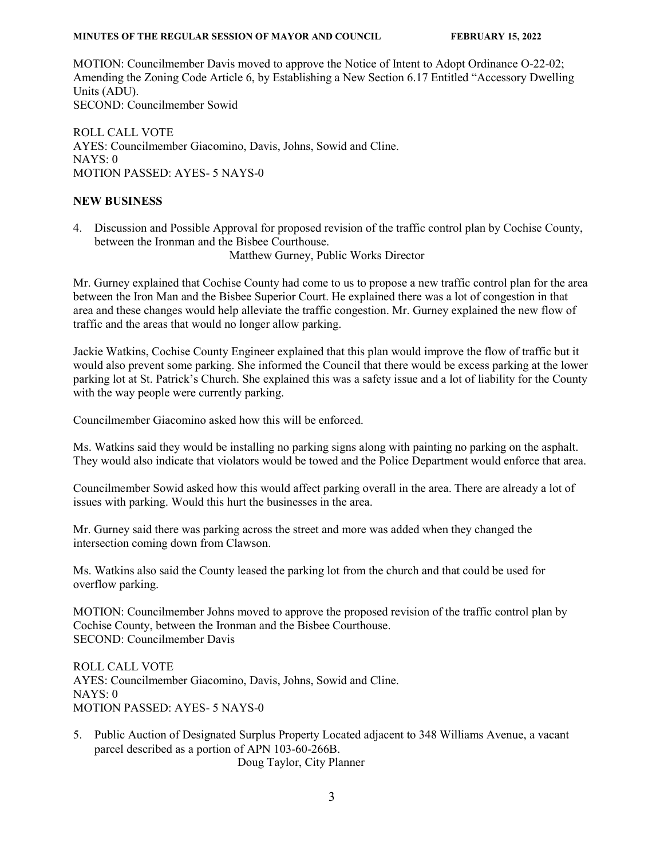MOTION: Councilmember Davis moved to approve the Notice of Intent to Adopt Ordinance O-22-02; Amending the Zoning Code Article 6, by Establishing a New Section 6.17 Entitled "Accessory Dwelling Units (ADU). SECOND: Councilmember Sowid

ROLL CALL VOTE AYES: Councilmember Giacomino, Davis, Johns, Sowid and Cline. NAYS: 0 MOTION PASSED: AYES- 5 NAYS-0

## **NEW BUSINESS**

4. Discussion and Possible Approval for proposed revision of the traffic control plan by Cochise County, between the Ironman and the Bisbee Courthouse.

Matthew Gurney, Public Works Director

Mr. Gurney explained that Cochise County had come to us to propose a new traffic control plan for the area between the Iron Man and the Bisbee Superior Court. He explained there was a lot of congestion in that area and these changes would help alleviate the traffic congestion. Mr. Gurney explained the new flow of traffic and the areas that would no longer allow parking.

Jackie Watkins, Cochise County Engineer explained that this plan would improve the flow of traffic but it would also prevent some parking. She informed the Council that there would be excess parking at the lower parking lot at St. Patrick's Church. She explained this was a safety issue and a lot of liability for the County with the way people were currently parking.

Councilmember Giacomino asked how this will be enforced.

Ms. Watkins said they would be installing no parking signs along with painting no parking on the asphalt. They would also indicate that violators would be towed and the Police Department would enforce that area.

Councilmember Sowid asked how this would affect parking overall in the area. There are already a lot of issues with parking. Would this hurt the businesses in the area.

Mr. Gurney said there was parking across the street and more was added when they changed the intersection coming down from Clawson.

Ms. Watkins also said the County leased the parking lot from the church and that could be used for overflow parking.

MOTION: Councilmember Johns moved to approve the proposed revision of the traffic control plan by Cochise County, between the Ironman and the Bisbee Courthouse. SECOND: Councilmember Davis

ROLL CALL VOTE AYES: Councilmember Giacomino, Davis, Johns, Sowid and Cline. NAYS: 0 MOTION PASSED: AYES- 5 NAYS-0

5. Public Auction of Designated Surplus Property Located adjacent to 348 Williams Avenue, a vacant parcel described as a portion of APN 103-60-266B. Doug Taylor, City Planner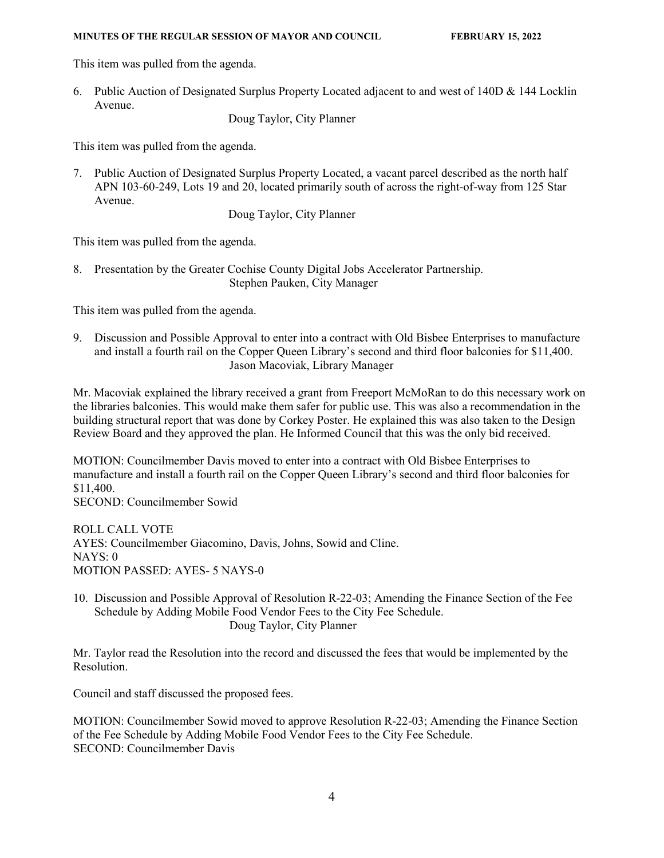This item was pulled from the agenda.

6. Public Auction of Designated Surplus Property Located adjacent to and west of 140D & 144 Locklin Avenue.

Doug Taylor, City Planner

This item was pulled from the agenda.

7. Public Auction of Designated Surplus Property Located, a vacant parcel described as the north half APN 103-60-249, Lots 19 and 20, located primarily south of across the right-of-way from 125 Star Avenue.

Doug Taylor, City Planner

This item was pulled from the agenda.

8. Presentation by the Greater Cochise County Digital Jobs Accelerator Partnership. Stephen Pauken, City Manager

This item was pulled from the agenda.

9. Discussion and Possible Approval to enter into a contract with Old Bisbee Enterprises to manufacture and install a fourth rail on the Copper Queen Library's second and third floor balconies for \$11,400. Jason Macoviak, Library Manager

Mr. Macoviak explained the library received a grant from Freeport McMoRan to do this necessary work on the libraries balconies. This would make them safer for public use. This was also a recommendation in the building structural report that was done by Corkey Poster. He explained this was also taken to the Design Review Board and they approved the plan. He Informed Council that this was the only bid received.

MOTION: Councilmember Davis moved to enter into a contract with Old Bisbee Enterprises to manufacture and install a fourth rail on the Copper Queen Library's second and third floor balconies for \$11,400.

SECOND: Councilmember Sowid

ROLL CALL VOTE AYES: Councilmember Giacomino, Davis, Johns, Sowid and Cline.  $NAYS: 0$ MOTION PASSED: AYES- 5 NAYS-0

10. Discussion and Possible Approval of Resolution R-22-03; Amending the Finance Section of the Fee Schedule by Adding Mobile Food Vendor Fees to the City Fee Schedule. Doug Taylor, City Planner

Mr. Taylor read the Resolution into the record and discussed the fees that would be implemented by the Resolution.

Council and staff discussed the proposed fees.

MOTION: Councilmember Sowid moved to approve Resolution R-22-03; Amending the Finance Section of the Fee Schedule by Adding Mobile Food Vendor Fees to the City Fee Schedule. SECOND: Councilmember Davis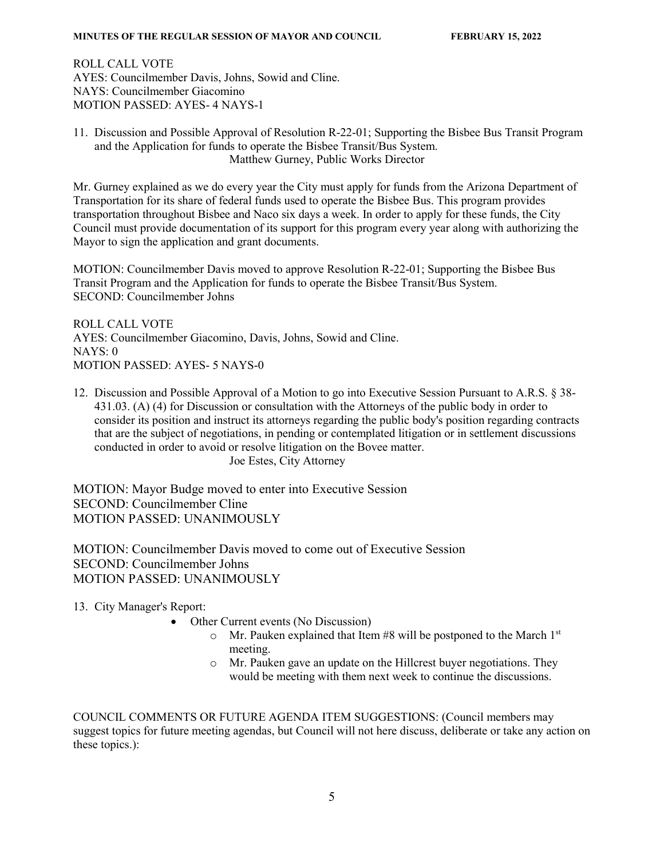ROLL CALL VOTE AYES: Councilmember Davis, Johns, Sowid and Cline. NAYS: Councilmember Giacomino MOTION PASSED: AYES- 4 NAYS-1

11. Discussion and Possible Approval of Resolution R-22-01; Supporting the Bisbee Bus Transit Program and the Application for funds to operate the Bisbee Transit/Bus System. Matthew Gurney, Public Works Director

Mr. Gurney explained as we do every year the City must apply for funds from the Arizona Department of Transportation for its share of federal funds used to operate the Bisbee Bus. This program provides transportation throughout Bisbee and Naco six days a week. In order to apply for these funds, the City Council must provide documentation of its support for this program every year along with authorizing the Mayor to sign the application and grant documents.

MOTION: Councilmember Davis moved to approve Resolution R-22-01; Supporting the Bisbee Bus Transit Program and the Application for funds to operate the Bisbee Transit/Bus System. SECOND: Councilmember Johns

ROLL CALL VOTE AYES: Councilmember Giacomino, Davis, Johns, Sowid and Cline. NAYS: 0 MOTION PASSED: AYES- 5 NAYS-0

12. Discussion and Possible Approval of a Motion to go into Executive Session Pursuant to A.R.S. § 38- 431.03. (A) (4) for Discussion or consultation with the Attorneys of the public body in order to consider its position and instruct its attorneys regarding the public body's position regarding contracts that are the subject of negotiations, in pending or contemplated litigation or in settlement discussions conducted in order to avoid or resolve litigation on the Bovee matter. Joe Estes, City Attorney

MOTION: Mayor Budge moved to enter into Executive Session SECOND: Councilmember Cline MOTION PASSED: UNANIMOUSLY

MOTION: Councilmember Davis moved to come out of Executive Session SECOND: Councilmember Johns MOTION PASSED: UNANIMOUSLY

13. City Manager's Report:

- Other Current events (No Discussion)
	- $\circ$  Mr. Pauken explained that Item #8 will be postponed to the March 1st meeting.
	- o Mr. Pauken gave an update on the Hillcrest buyer negotiations. They would be meeting with them next week to continue the discussions.

COUNCIL COMMENTS OR FUTURE AGENDA ITEM SUGGESTIONS: (Council members may suggest topics for future meeting agendas, but Council will not here discuss, deliberate or take any action on these topics.):